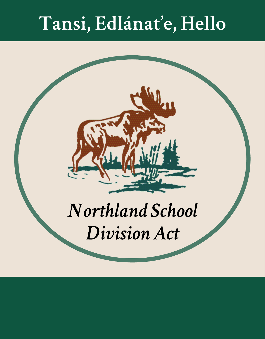# Tansi, Edlánat'e, Hello

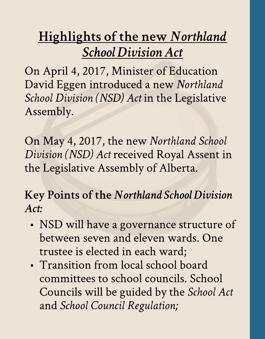## **Highlights of the new Northland SchoolDivisionAct**

On April 4, 2017, Minister of Education David Eggen introduced a new Northland **School Division (NSD)** Act in the Legislative Assembly.

On May 4, 2017, the new *Northland School* **Division(NSD) Act**received Royal Assent in the Legislative Assembly of Alberta.

Key Points of the Northland School Division **Act:**

- NSD will have a governance structure of between seven and eleven wards. One trustee is elected in each ward;
- Transition from local school board committees to school councils. School Councils will be guided by the *School Act* and**School Council Regulation;**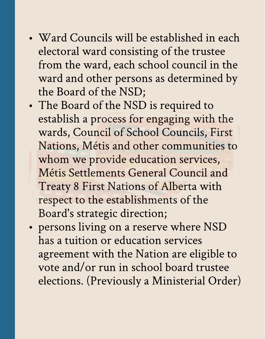- Ward Councils will be established in each electoral ward consisting of the trustee from the ward, each school council in the ward and other persons as determined by the Board of the NSD;
- The Board of the NSD is required to establish a process for engaging with the wards, Council of School Councils, First Nations, Métis and other communities to whom we provide education services, Métis Settlements General Council and Treaty 8 First Nations of Alberta with respect to the establishments of the Board's strategic direction;
- persons living on a reserve where NSD has a tuition or education services agreement with the Nation are eligible to vote and/or run in school board trustee elections. (Previously a Ministerial Order)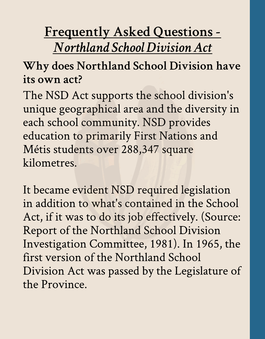## Frequently Asked Questions-**NorthlandSchoolDivisionAct**

### Why does Northland School Division have its own act?

The NSD Act supports the school division's unique geographical area and the diversity in each school community. NSD provides education to primarily First Nations and Métis students over 288,347 square kilometres.

It became evident NSD required legislation in addition to what's contained in the School Act, if it was to do its job effectively. (Source: Report of the Northland School Division Investigation Committee, 1981). In 1965, the first version of the Northland School Division Act was passed by the Legislature of the Province.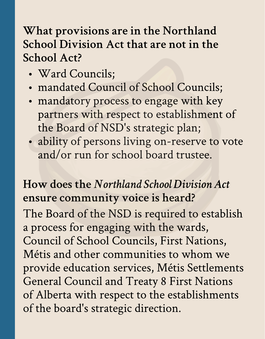### What provisions are in the Northland School Division Act that are not in the School Act?

- Ward Councils;
- mandated Council of School Councils;
- mandatory process to engage with key partners with respect to establishment of the Board of NSD's strategic plan;
- · ability of persons living on-reserve to vote and/or run for school board trustee.

#### How doesthe**NorthlandSchoolDivisionAct** ensure community voice is heard?

The Board of the NSD is required to establish a process for engaging with the wards, Council of School Councils, First Nations, Métis and other communities to whom we provide education services, Métis Settlements General Council and Treaty 8 First Nations of Alberta with respect to the establishments of the board's strategic direction.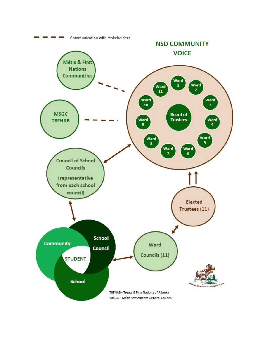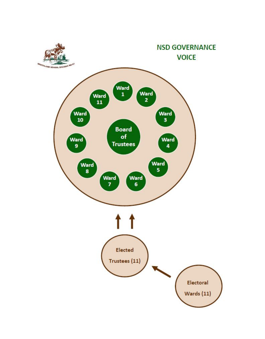